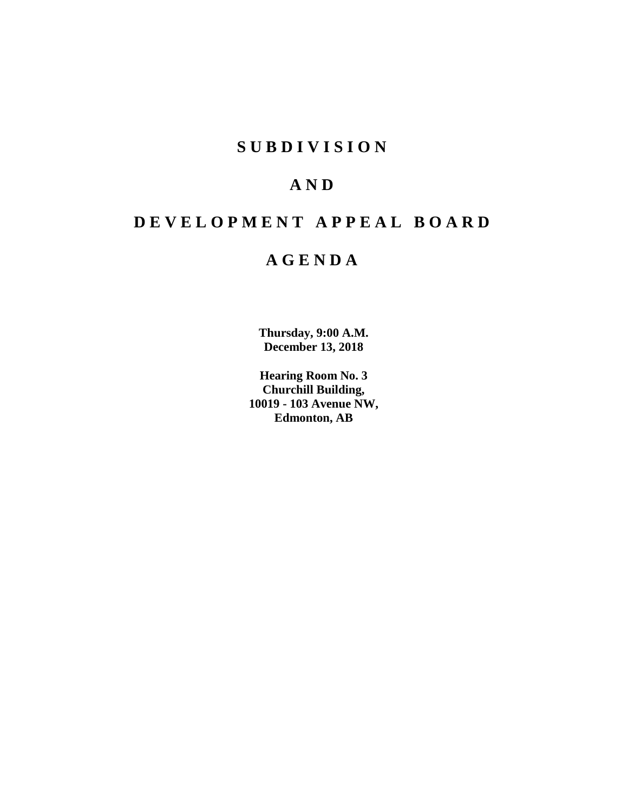# **SUBDIVISION**

# **AND**

# **DEVELOPMENT APPEAL BOARD**

# **AGENDA**

**Thursday, 9:00 A.M. December 13, 2018**

**Hearing Room No. 3 Churchill Building, 10019 - 103 Avenue NW, Edmonton, AB**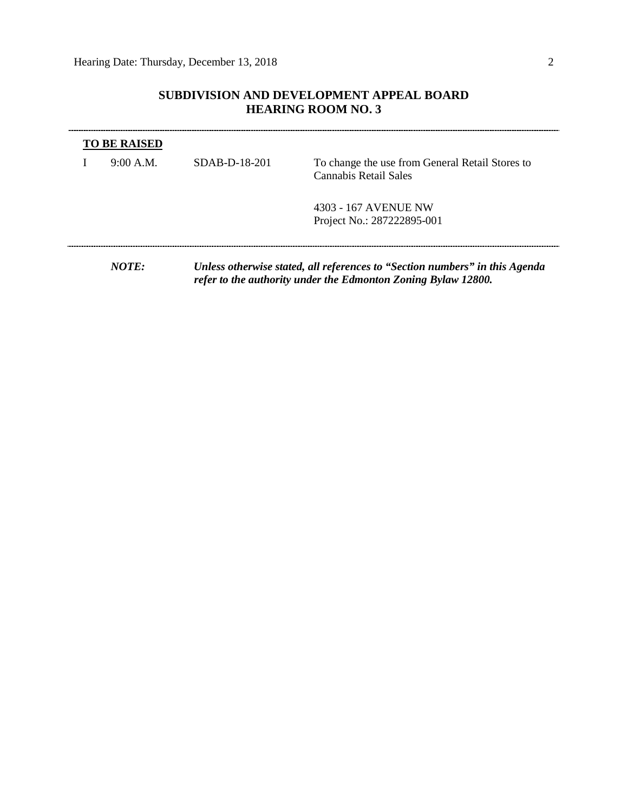# **SUBDIVISION AND DEVELOPMENT APPEAL BOARD HEARING ROOM NO. 3**

| 9:00 A.M. | SDAB-D-18-201                                                                                                                                | To change the use from General Retail Stores to<br>Cannabis Retail Sales |  |
|-----------|----------------------------------------------------------------------------------------------------------------------------------------------|--------------------------------------------------------------------------|--|
|           |                                                                                                                                              | 4303 - 167 AVENUE NW                                                     |  |
|           |                                                                                                                                              | Project No.: 287222895-001                                               |  |
|           |                                                                                                                                              |                                                                          |  |
| NOTE:     | Unless otherwise stated, all references to "Section numbers" in this Agenda<br>refer to the authority under the Edmonton Zoning Bylaw 12800. |                                                                          |  |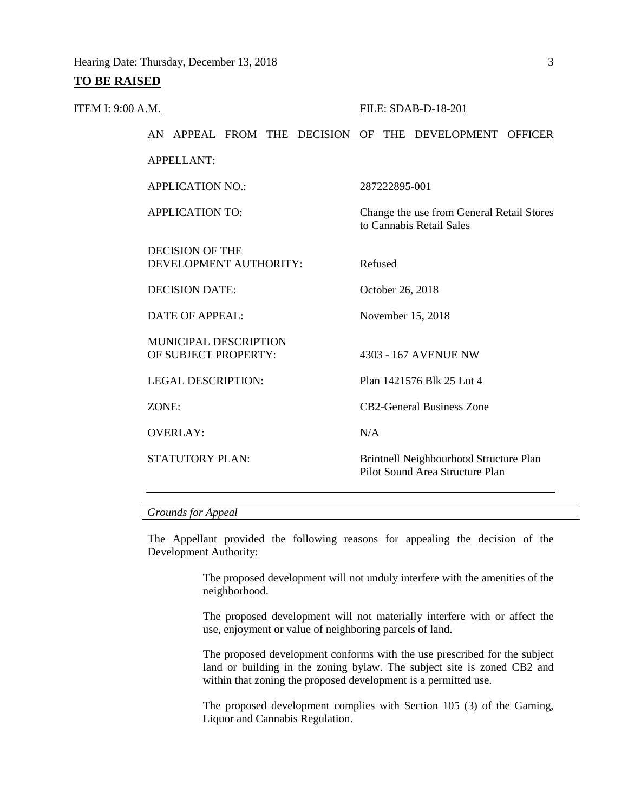#### **TO BE RAISED**

#### ITEM I: 9:00 A.M. FILE: SDAB-D-18-201

to Cannabis Retail Sales

# AN APPEAL FROM THE DECISION OF THE DEVELOPMENT OFFICER

APPELLANT:

APPLICATION NO.: 287222895-001

APPLICATION TO: Change the use from General Retail Stores

DECISION OF THE DEVELOPMENT AUTHORITY: Refused

DECISION DATE: October 26, 2018

MUNICIPAL DESCRIPTION OF SUBJECT PROPERTY: 4303 - 167 AVENUE NW

OVERLAY: N/A

DATE OF APPEAL: November 15, 2018

LEGAL DESCRIPTION: Plan 1421576 Blk 25 Lot 4

ZONE: CB2-General Business Zone

STATUTORY PLAN: Brintnell Neighbourhood Structure Plan Pilot Sound Area Structure Plan

## *Grounds for Appeal*

The Appellant provided the following reasons for appealing the decision of the Development Authority:

> The proposed development will not unduly interfere with the amenities of the neighborhood.

> The proposed development will not materially interfere with or affect the use, enjoyment or value of neighboring parcels of land.

> The proposed development conforms with the use prescribed for the subject land or building in the zoning bylaw. The subject site is zoned CB2 and within that zoning the proposed development is a permitted use.

> The proposed development complies with Section 105 (3) of the Gaming, Liquor and Cannabis Regulation.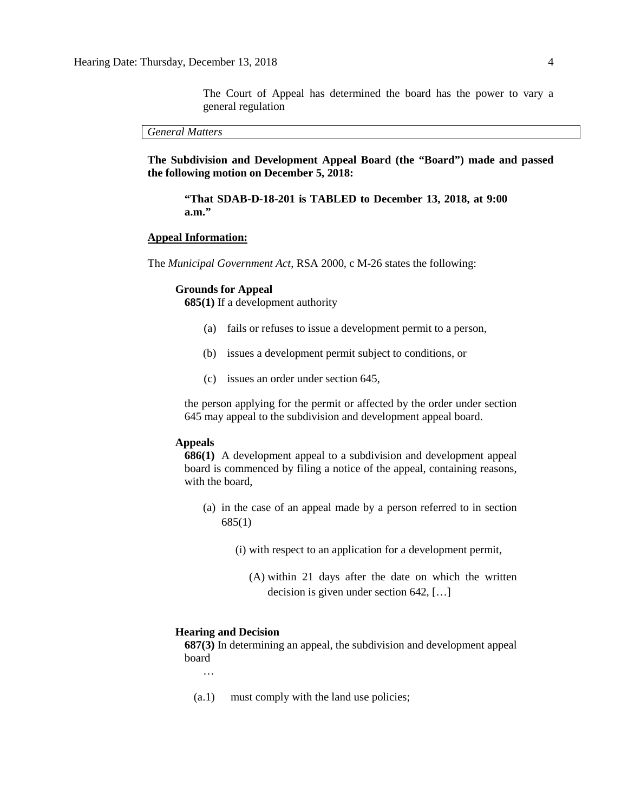The Court of Appeal has determined the board has the power to vary a general regulation

*General Matters*

**The Subdivision and Development Appeal Board (the "Board") made and passed the following motion on December 5, 2018:**

**"That SDAB-D-18-201 is TABLED to December 13, 2018, at 9:00 a.m."**

#### **Appeal Information:**

The *Municipal Government Act*, RSA 2000, c M-26 states the following:

#### **Grounds for Appeal**

**685(1)** If a development authority

- (a) fails or refuses to issue a development permit to a person,
- (b) issues a development permit subject to conditions, or
- (c) issues an order under section 645,

the person applying for the permit or affected by the order under section 645 may appeal to the subdivision and development appeal board.

#### **Appeals**

**686(1)** A development appeal to a subdivision and development appeal board is commenced by filing a notice of the appeal, containing reasons, with the board,

- (a) in the case of an appeal made by a person referred to in section 685(1)
	- (i) with respect to an application for a development permit,
		- (A) within 21 days after the date on which the written decision is given under section 642, […]

#### **Hearing and Decision**

**687(3)** In determining an appeal, the subdivision and development appeal board

…

(a.1) must comply with the land use policies;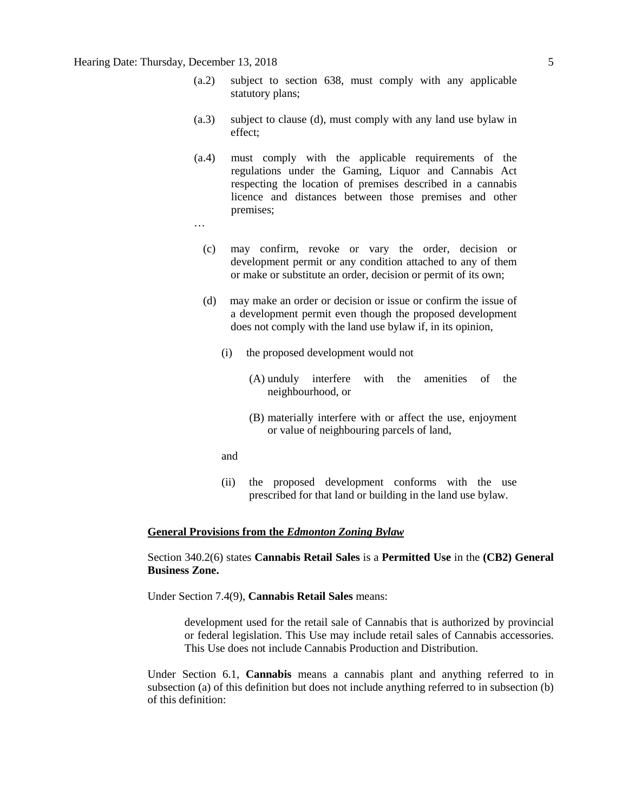## Hearing Date: Thursday, December 13, 2018 5

- (a.2) subject to section 638, must comply with any applicable statutory plans;
- (a.3) subject to clause (d), must comply with any land use bylaw in effect;
- (a.4) must comply with the applicable requirements of the regulations under the Gaming, Liquor and Cannabis Act respecting the location of premises described in a cannabis licence and distances between those premises and other premises;
- …
	- (c) may confirm, revoke or vary the order, decision or development permit or any condition attached to any of them or make or substitute an order, decision or permit of its own;
	- (d) may make an order or decision or issue or confirm the issue of a development permit even though the proposed development does not comply with the land use bylaw if, in its opinion,
		- (i) the proposed development would not
			- (A) unduly interfere with the amenities of the neighbourhood, or
			- (B) materially interfere with or affect the use, enjoyment or value of neighbouring parcels of land,
		- and
		- (ii) the proposed development conforms with the use prescribed for that land or building in the land use bylaw.

#### **General Provisions from the** *Edmonton Zoning Bylaw*

Section 340.2(6) states **Cannabis Retail Sales** is a **Permitted Use** in the **(CB2) General Business Zone.** 

Under Section 7.4(9), **Cannabis Retail Sales** means:

development used for the retail sale of Cannabis that is authorized by provincial or federal legislation. This Use may include retail sales of Cannabis accessories. This Use does not include Cannabis Production and Distribution.

Under Section 6.1, **Cannabis** means a cannabis plant and anything referred to in subsection (a) of this definition but does not include anything referred to in subsection (b) of this definition: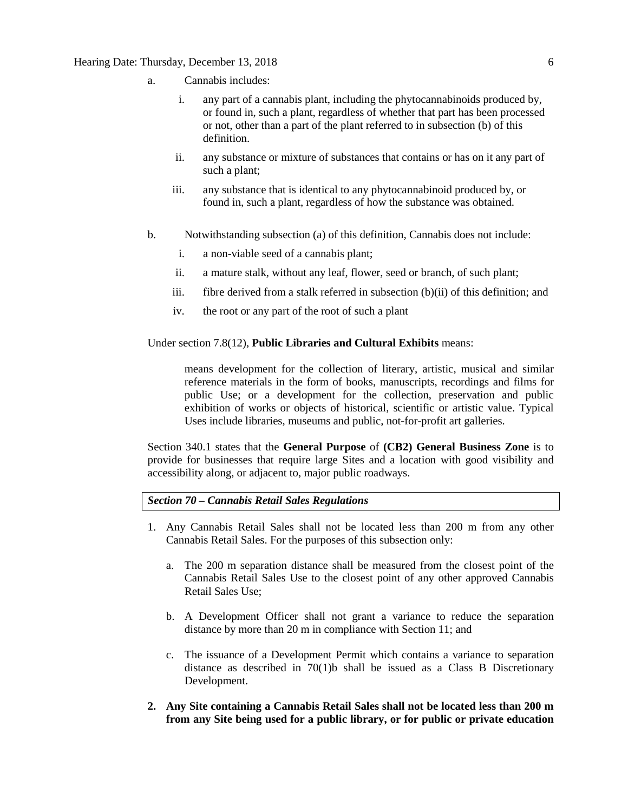### Hearing Date: Thursday, December 13, 2018 6

- a. Cannabis includes:
	- i. any part of a cannabis plant, including the phytocannabinoids produced by, or found in, such a plant, regardless of whether that part has been processed or not, other than a part of the plant referred to in subsection (b) of this definition.
	- ii. any substance or mixture of substances that contains or has on it any part of such a plant;
	- iii. any substance that is identical to any phytocannabinoid produced by, or found in, such a plant, regardless of how the substance was obtained.
- b. Notwithstanding subsection (a) of this definition, Cannabis does not include:
	- i. a non-viable seed of a cannabis plant;
	- ii. a mature stalk, without any leaf, flower, seed or branch, of such plant;
	- iii. fibre derived from a stalk referred in subsection  $(b)(ii)$  of this definition; and
	- iv. the root or any part of the root of such a plant

Under section 7.8(12), **Public Libraries and Cultural Exhibits** means:

means development for the collection of literary, artistic, musical and similar reference materials in the form of books, manuscripts, recordings and films for public Use; or a development for the collection, preservation and public exhibition of works or objects of historical, scientific or artistic value. Typical Uses include libraries, museums and public, not-for-profit art galleries.

Section 340.1 states that the **General Purpose** of **(CB2) General Business Zone** is to provide for businesses that require large Sites and a location with good visibility and accessibility along, or adjacent to, major public roadways.

*Section 70 – Cannabis Retail Sales Regulations*

- 1. Any Cannabis Retail Sales shall not be located less than 200 m from any other Cannabis Retail Sales. For the purposes of this subsection only:
	- a. The [200 m](javascript:void(0);) separation distance shall be measured from the closest point of the Cannabis Retail Sales Use to the closest point of any other approved Cannabis Retail Sales Use;
	- b. A Development Officer shall not grant a variance to reduce the separation distance by more than [20 m](javascript:void(0);) in compliance wit[h Section 11;](https://webdocs.edmonton.ca/InfraPlan/zoningbylaw/ZoningBylaw/Part1/Administrative/11__Authority_and_Responsibility_of_the_Development_Officer.htm) and
	- c. The issuance of a Development Permit which contains a variance to separation distance as described in 70(1)b shall be issued as a Class B Discretionary Development.
- **2. Any Site containing a Cannabis Retail Sales shall not be located less than [200 m](javascript:void(0);) from any Site being used for a public library, or for public or private education**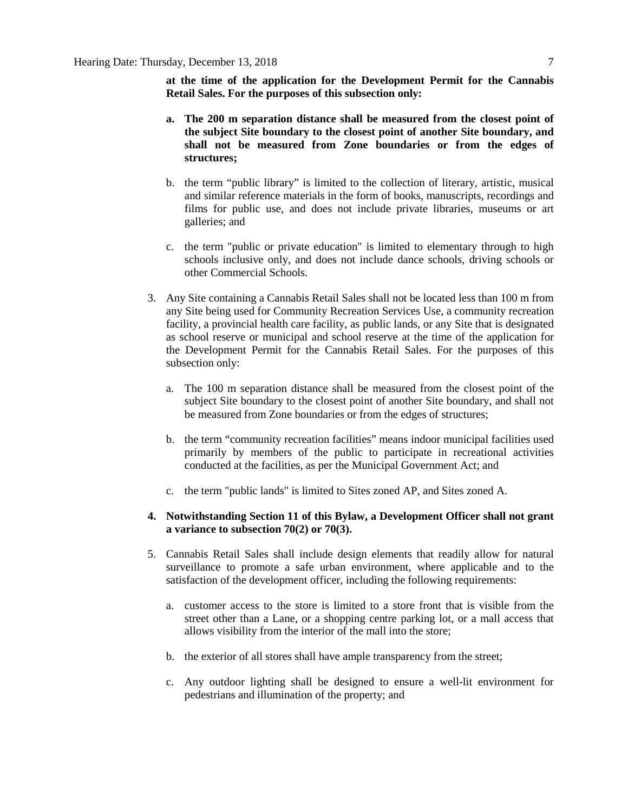**at the time of the application for the Development Permit for the Cannabis Retail Sales. For the purposes of this subsection only:**

- **a. The [200 m](javascript:void(0);) separation distance shall be measured from the closest point of the subject Site boundary to the closest point of another Site boundary, and shall not be measured from Zone boundaries or from the edges of structures;**
- b. the term "public library" is limited to the collection of literary, artistic, musical and similar reference materials in the form of books, manuscripts, recordings and films for public use, and does not include private libraries, museums or art galleries; and
- c. the term "public or private education" is limited to elementary through to high schools inclusive only, and does not include dance schools, driving schools or other Commercial Schools.
- 3. Any Site containing a Cannabis Retail Sales shall not be located less than [100 m](javascript:void(0);) from any Site being used for Community Recreation Services Use, a community recreation facility, a provincial health care facility, as public lands, or any Site that is designated as school reserve or municipal and school reserve at the time of the application for the Development Permit for the Cannabis Retail Sales. For the purposes of this subsection only:
	- a. The [100 m](javascript:void(0);) separation distance shall be measured from the closest point of the subject Site boundary to the closest point of another Site boundary, and shall not be measured from Zone boundaries or from the edges of structures;
	- b. the term "community recreation facilities" means indoor municipal facilities used primarily by members of the public to participate in recreational activities conducted at the facilities, as per the Municipal Government Act; and
	- c. the term "public lands" is limited to Sites zoned AP, and Sites zoned A.

### **4. Notwithstanding [Section 11](https://webdocs.edmonton.ca/InfraPlan/zoningbylaw/ZoningBylaw/Part1/Administrative/11__Authority_and_Responsibility_of_the_Development_Officer.htm) of this Bylaw, a Development Officer shall not grant a variance to subsection 70(2) or 70(3).**

- 5. Cannabis Retail Sales shall include design elements that readily allow for natural surveillance to promote a safe urban environment, where applicable and to the satisfaction of the development officer, including the following requirements:
	- a. customer access to the store is limited to a store front that is visible from the street other than a Lane, or a shopping centre parking lot, or a mall access that allows visibility from the interior of the mall into the store;
	- b. the exterior of all stores shall have ample transparency from the street;
	- c. Any outdoor lighting shall be designed to ensure a well-lit environment for pedestrians and illumination of the property; and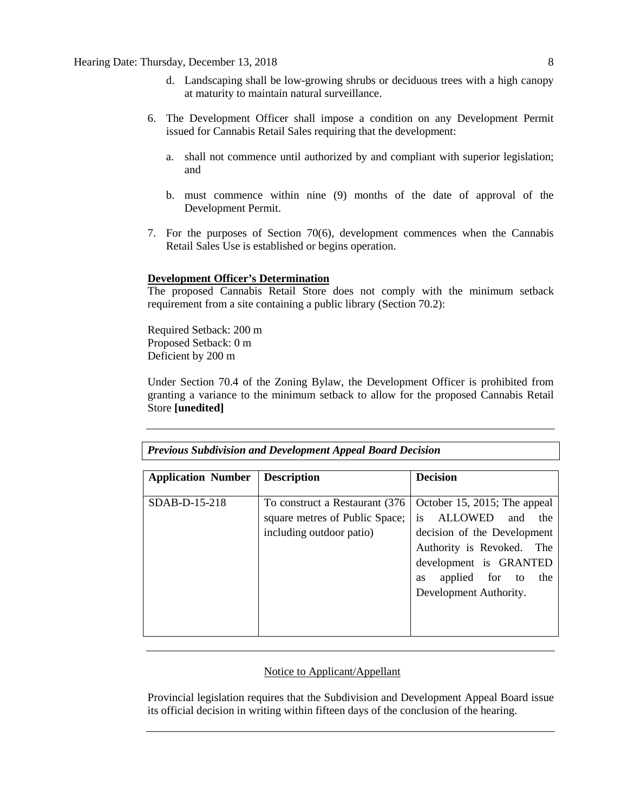- d. Landscaping shall be low-growing shrubs or deciduous trees with a high canopy at maturity to maintain natural surveillance.
- 6. The Development Officer shall impose a condition on any Development Permit issued for Cannabis Retail Sales requiring that the development:
	- a. shall not commence until authorized by and compliant with superior legislation; and
	- b. must commence within nine (9) months of the date of approval of the Development Permit.
- 7. For the purposes of Section 70(6), development commences when the Cannabis Retail Sales Use is established or begins operation.

## **Development Officer's Determination**

The proposed Cannabis Retail Store does not comply with the minimum setback requirement from a site containing a public library (Section 70.2):

Required Setback: 200 m Proposed Setback: 0 m Deficient by 200 m

Under Section 70.4 of the Zoning Bylaw, the Development Officer is prohibited from granting a variance to the minimum setback to allow for the proposed Cannabis Retail Store **[unedited]**

| <b>Previous Subdivision and Development Appeal Board Decision</b> |                                                                                               |                                                                                                                                                                                                                |  |  |  |  |  |  |  |
|-------------------------------------------------------------------|-----------------------------------------------------------------------------------------------|----------------------------------------------------------------------------------------------------------------------------------------------------------------------------------------------------------------|--|--|--|--|--|--|--|
| <b>Application Number</b>                                         | <b>Description</b>                                                                            | <b>Decision</b>                                                                                                                                                                                                |  |  |  |  |  |  |  |
| $SDAB-D-15-218$                                                   | To construct a Restaurant (376)<br>square metres of Public Space;<br>including outdoor patio) | October 15, 2015; The appeal<br>ALLOWED<br>and<br>is.<br>the<br>decision of the Development<br>Authority is Revoked.<br>The<br>development is GRANTED<br>applied for to<br>the<br>as<br>Development Authority. |  |  |  |  |  |  |  |

# Notice to Applicant/Appellant

Provincial legislation requires that the Subdivision and Development Appeal Board issue its official decision in writing within fifteen days of the conclusion of the hearing.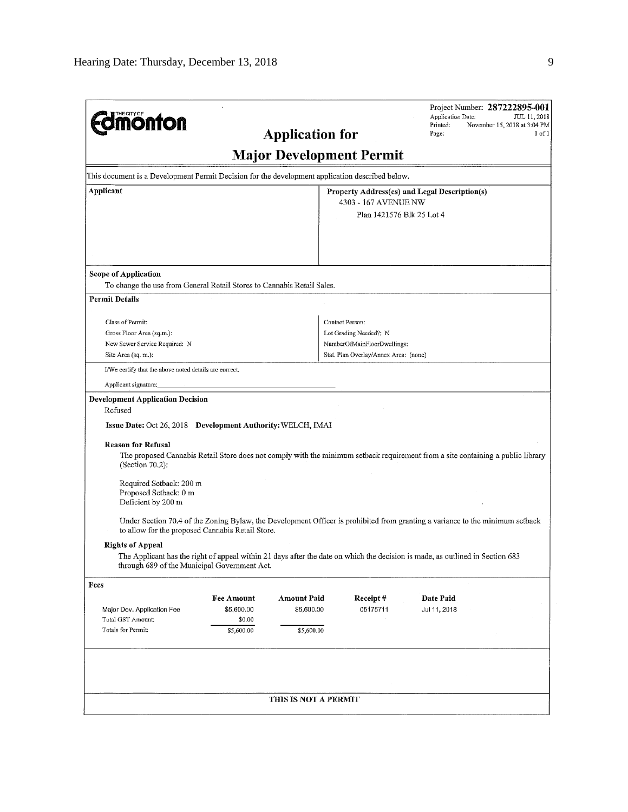| <b>Jmönton</b>                                                                                                    |                                                         | <b>Application for</b>                         |                                                                                                                   | Application Date:<br>Printed:<br>Page:                                                                                          | Project Number: 287222895-001<br>JUL 11, 2018<br>November 15, 2018 at 3:04 PM<br>1 of 1 |  |  |  |  |  |
|-------------------------------------------------------------------------------------------------------------------|---------------------------------------------------------|------------------------------------------------|-------------------------------------------------------------------------------------------------------------------|---------------------------------------------------------------------------------------------------------------------------------|-----------------------------------------------------------------------------------------|--|--|--|--|--|
| <b>Major Development Permit</b>                                                                                   |                                                         |                                                |                                                                                                                   |                                                                                                                                 |                                                                                         |  |  |  |  |  |
| This document is a Development Permit Decision for the development application described below.                   |                                                         |                                                |                                                                                                                   |                                                                                                                                 |                                                                                         |  |  |  |  |  |
| Applicant                                                                                                         |                                                         |                                                | Property Address(es) and Legal Description(s)<br>4303 - 167 AVENUE NW<br>Plan 1421576 Blk 25 Lot 4                |                                                                                                                                 |                                                                                         |  |  |  |  |  |
| <b>Scope of Application</b><br>To change the use from General Retail Stores to Cannabis Retail Sales.             |                                                         |                                                |                                                                                                                   |                                                                                                                                 |                                                                                         |  |  |  |  |  |
| <b>Permit Details</b>                                                                                             |                                                         |                                                |                                                                                                                   |                                                                                                                                 |                                                                                         |  |  |  |  |  |
| Class of Permit:<br>Gross Floor Area (sq.m.):<br>New Sewer Service Required: N<br>Site Area (sq. m.):             |                                                         |                                                | Contact Person:<br>Lot Grading Needed?: N<br>NumberOfMainFloorDwellings:<br>Stat, Plan Overlay/Annex Area: (none) |                                                                                                                                 |                                                                                         |  |  |  |  |  |
| I/We certify that the above noted details are correct.                                                            |                                                         |                                                |                                                                                                                   |                                                                                                                                 |                                                                                         |  |  |  |  |  |
| Applicant signature:                                                                                              |                                                         |                                                |                                                                                                                   |                                                                                                                                 |                                                                                         |  |  |  |  |  |
| <b>Development Application Decision</b><br>Refused<br>Issue Date: Oct 26, 2018 Development Authority: WELCH, IMAI |                                                         |                                                |                                                                                                                   |                                                                                                                                 |                                                                                         |  |  |  |  |  |
| <b>Reason for Refusal</b><br>(Section 70.2):                                                                      |                                                         |                                                |                                                                                                                   | The proposed Cannabis Retail Store does not comply with the minimum setback requirement from a site containing a public library |                                                                                         |  |  |  |  |  |
| Required Setback: 200 m<br>Proposed Setback: 0 m<br>Deficient by 200 m                                            |                                                         |                                                |                                                                                                                   |                                                                                                                                 |                                                                                         |  |  |  |  |  |
| to allow for the proposed Cannabis Retail Store.                                                                  |                                                         |                                                |                                                                                                                   | Under Section 70.4 of the Zoning Bylaw, the Development Officer is prohibited from granting a variance to the minimum setback   |                                                                                         |  |  |  |  |  |
| <b>Rights of Appeal</b><br>through 689 of the Municipal Government Act.                                           |                                                         |                                                |                                                                                                                   | The Applicant has the right of appeal within 21 days after the date on which the decision is made, as outlined in Section 683   |                                                                                         |  |  |  |  |  |
| Fees                                                                                                              |                                                         |                                                |                                                                                                                   |                                                                                                                                 |                                                                                         |  |  |  |  |  |
| Major Dev. Application Fee<br>Total GST Amount:<br>Totals for Permit:                                             | <b>Fee Amount</b><br>\$5,600.00<br>\$0.00<br>\$5,600.00 | <b>Amount Paid</b><br>\$5,600.00<br>\$5,600.00 | Receipt#<br>05175711                                                                                              | Date Paid<br>Jul 11, 2018                                                                                                       |                                                                                         |  |  |  |  |  |
|                                                                                                                   |                                                         |                                                |                                                                                                                   |                                                                                                                                 |                                                                                         |  |  |  |  |  |
|                                                                                                                   |                                                         | THIS IS NOT A PERMIT                           |                                                                                                                   |                                                                                                                                 |                                                                                         |  |  |  |  |  |

 $\ddot{\phantom{0}}$